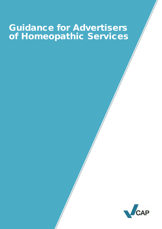# Guidance for Advertisers of Homeopathic Services

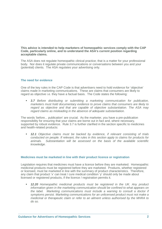**This advice is intended to help marketers of homeopathic services comply with the CAP Code, particularly online, and to understand the ASA's current position regarding acceptable claims.**

The ASA does not regulate homeopathic clinical practice; that is a matter for your professional body. Nor does it regulate private communications or conversations between you and your (potential) clients. The ASA regulates your advertising only.

#### **The need for evidence**

One of the key rules in the CAP Code is that advertisers need to hold evidence for 'objective' claims made in marketing communications. These are claims that consumers are likely to regard as objective i.e. they have a factual basis. The Code states the following:

 *3.7 Before distributing or submitting a marketing communication for publication, marketers must hold documentary evidence to prove claims that consumers are likely to regard as objective and that are capable of objective substantiation. The ASA may regard claims as misleading in the absence of adequate substantiation.*

The words 'before... publication' are crucial. As the marketer, you have a pre-publication responsibility for ensuring that your claims are borne out in fact and, where necessary, supported by robust evidence. Rule 3.7 is further clarified in the section specific to medicines and health-related products:

 *12.1 Objective claims must be backed by evidence, if relevant consisting of trials conducted on people. If relevant, the rules in this section apply to claims for products for animals. Substantiation will be assessed on the basis of the available scientific knowledge.*

#### **Medicines must be marketed in line with their product licence or registration**

Legislation requires that medicines must have a licence before they are marketed. Homeopathic medicinal products must be registered before they are marketed. Products, whether registered or licensed, must be marketed in line with the summary of product characteristics. Therefore, any claim that product 'x' can treat / cure medical condition 'y' should only be made about licensed or registered products, if the licence / registration permits it.

 *12.20 Homeopathic medicinal products must be registered in the UK. Any product information given in the marketing communication should be confined to what appears on the label. Marketing communications must include a warning to consult a doctor if symptoms persist. Marketing communications for an unlicensed product must not make a medicinal or therapeutic claim or refer to an ailment unless authorised by the MHRA to do so.*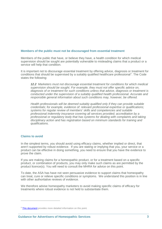## **Members of the public must not be discouraged from essential treatment**

Members of the public that have, or believe they have, a health condition for which medical supervision should be sought are potentially vulnerable to misleading claims that a product or a service will help that condition.

It is important not to discourage essential treatment by offering advice, diagnosis or treatment for conditions that should be supervised by a suitably qualified healthcare professional<sup>[1](#page-2-0)</sup>. The Code states the following:

*12.2 Marketers must not discourage essential treatment for conditions for which medical supervision should be sought. For example, they must not offer specific advice on, diagnosis of or treatment for such conditions unless that advice, diagnosis or treatment is conducted under the supervision of a suitably qualified health professional. Accurate and responsible general information about such conditions may, however, be offered.*

*Health professionals will be deemed suitably qualified only if they can provide suitable credentials; for example, evidence of: relevant professional expertise or qualifications; systems for regular review of members' skills and competencies and suitable professional indemnity insurance covering all services provided; accreditation by a professional or regulatory body that has systems for dealing with complaints and taking disciplinary action and has registration based on minimum standards for training and qualifications.*

## **Claims to avoid**

 $\overline{a}$ 

In the simplest terms, you should avoid using efficacy claims, whether implied or direct, that aren't supported by robust evidence. If you are stating or implying that you, your service or a product can be effective in doing something, you need to ensure that you have the evidence to prove the claim.

If you are making claims for a homeopathic product, or for a treatment based on a specific product, or combination of products, you may only make such claims as are permitted by the product licence(s). You will need to consult the MHRA for advice on this point.

To date, the ASA has have not seen persuasive evidence to support claims that homeopathy can treat, cure or relieve specific conditions or symptoms. We understand this position is in line with other authoritative reviews of evidence.

We therefore advise homeopathy marketers to avoid making specific claims of efficacy for treatments where robust evidence is not held to substantiate them.

<span id="page-2-0"></span><sup>&</sup>lt;sup>1</sup> [This document](http://www.copyadvice.org.uk/~/media/Files/Copy%20Advice/Help%20Notes/ailments_health_beauty_slimming.ashx) provides more detailed information on this point.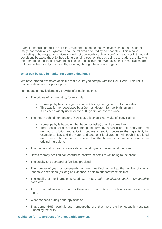Even if a specific product is not cited, marketers of homeopathy services should not state or imply that conditions or symptoms can be relieved or cured by homeopathy.This means marketing of homeopathy services should not use words such as 'cure' or 'treat', nor list medical conditions because the ASA has a long-standing position that, by doing so, readers are likely to infer that the conditions or symptoms listed can be alleviated. We advise that these claims are not used either directly or indirectly, including through the use of imagery.

## **What can be said in marketing communications?**

We have drafted examples of claims that are likely to comply with the CAP Code. This list is neither exhaustive nor prescriptive.

Homeopaths may legitimately provide information such as:

- The origins of homeopathy, for example:
	- **Homeopathy has its origins in ancient history dating back to Hippocrates.**
	- This was further developed by a German doctor, Samuel Hahnemann.
	- It has been widely used for over 200 years, across the world.
- The theory behind homeopathy (however, this should not make efficacy claims):
	- Homeopathy is based on the theory (or belief) that like cures like.
	- The process of devising a homeopathic remedy is based on the theory that the method of dilution and agitation causes a reaction between the ingredient, for example arnica, and the water and alcohol it is diluted in. Although it is diluted many times, homeopaths consider that the homeopathic remedy retains the original ingredient.
- That homeopathic products are safe to use alongside conventional medicine.
- How a therapy session can contribute positive benefits of wellbeing to the client.
- The quality and standard of facilities provided.
- The number of years a homeopath has been qualified, as well as the number of clients that have been seen (as long as evidence is held to support these claims).
- The quality of the ingredients used e.g. *"I use only the highest quality homeopathic products".*
- A list of ingredients as long as there are no indications or efficacy claims alongside them.
- **What happens during a therapy session.**
- That some NHS hospitals use homeopathy and that there are homeopathic hospitals funded by the NHS.